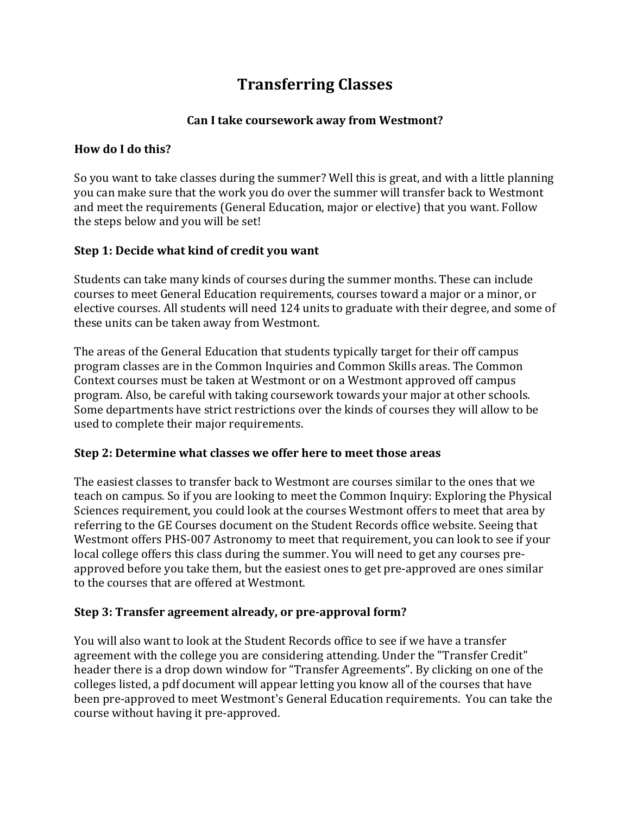# **Transferring Classes**

## Can I take coursework away from Westmont?

#### **How do I do this?**

So you want to take classes during the summer? Well this is great, and with a little planning you can make sure that the work you do over the summer will transfer back to Westmont and meet the requirements (General Education, major or elective) that you want. Follow the steps below and you will be set!

## **Step 1: Decide what kind of credit you want**

Students can take many kinds of courses during the summer months. These can include courses to meet General Education requirements, courses toward a major or a minor, or elective courses. All students will need 124 units to graduate with their degree, and some of these units can be taken away from Westmont.

The areas of the General Education that students typically target for their off campus program classes are in the Common Inquiries and Common Skills areas. The Common Context courses must be taken at Westmont or on a Westmont approved off campus program. Also, be careful with taking coursework towards your major at other schools. Some departments have strict restrictions over the kinds of courses they will allow to be used to complete their major requirements.

## **Step 2: Determine what classes we offer here to meet those areas**

The easiest classes to transfer back to Westmont are courses similar to the ones that we teach on campus. So if you are looking to meet the Common Inquiry: Exploring the Physical Sciences requirement, you could look at the courses Westmont offers to meet that area by referring to the GE Courses document on the Student Records office website. Seeing that Westmont offers PHS-007 Astronomy to meet that requirement, you can look to see if your local college offers this class during the summer. You will need to get any courses preapproved before you take them, but the easiest ones to get pre-approved are ones similar to the courses that are offered at Westmont.

#### **Step 3: Transfer agreement already, or pre-approval form?**

You will also want to look at the Student Records office to see if we have a transfer agreement with the college you are considering attending. Under the "Transfer Credit" header there is a drop down window for "Transfer Agreements". By clicking on one of the colleges listed, a pdf document will appear letting you know all of the courses that have been pre-approved to meet Westmont's General Education requirements. You can take the course without having it pre-approved.